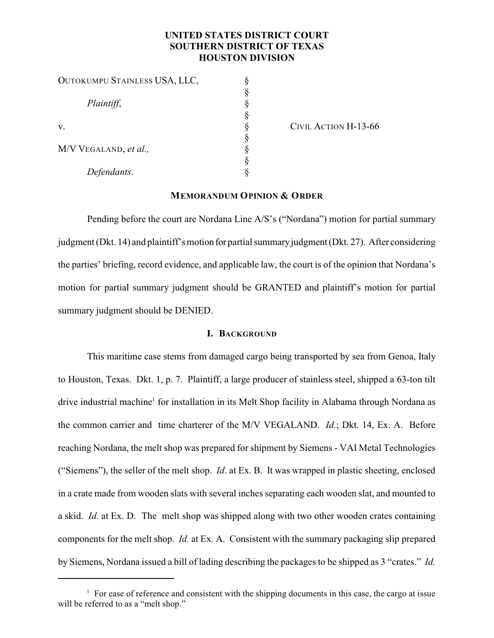# **UNITED STATES DISTRICT COURT SOUTHERN DISTRICT OF TEXAS HOUSTON DIVISION**

| OUTOKUMPU STAINLESS USA, LLC, |  |
|-------------------------------|--|
|                               |  |
| Plaintiff,                    |  |
|                               |  |
| V.                            |  |
|                               |  |
| M/V VEGALAND, et al.,         |  |
|                               |  |
| Defendants.                   |  |

CIVIL ACTION H-13-66

## **MEMORANDUM OPINION & ORDER**

Pending before the court are Nordana Line A/S's ("Nordana") motion for partial summary judgment (Dkt. 14) and plaintiff's motion for partial summaryjudgment (Dkt. 27). After considering the parties' briefing, record evidence, and applicable law, the court is of the opinion that Nordana's motion for partial summary judgment should be GRANTED and plaintiff's motion for partial summary judgment should be DENIED.

#### **I. BACKGROUND**

This maritime case stems from damaged cargo being transported by sea from Genoa, Italy to Houston, Texas. Dkt. 1, p. 7. Plaintiff, a large producer of stainless steel, shipped a 63-ton tilt drive industrial machine<sup>1</sup> for installation in its Melt Shop facility in Alabama through Nordana as the common carrier and time charterer of the M/V VEGALAND. *Id.*; Dkt. 14, Ex. A. Before reaching Nordana, the melt shop was prepared for shipment by Siemens - VAI Metal Technologies ("Siemens"), the seller of the melt shop. *Id*. at Ex. B. It was wrapped in plastic sheeting, enclosed in a crate made from wooden slats with several inches separating each wooden slat, and mounted to a skid. *Id.* at Ex. D. The melt shop was shipped along with two other wooden crates containing components for the melt shop. *Id.* at Ex. A. Consistent with the summary packaging slip prepared by Siemens, Nordana issued a bill of lading describing the packages to be shipped as 3 "crates." *Id.*

 $1$  For ease of reference and consistent with the shipping documents in this case, the cargo at issue will be referred to as a "melt shop."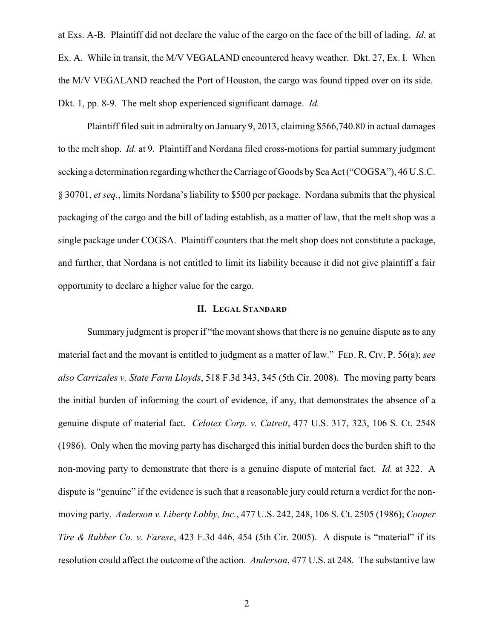at Exs. A-B. Plaintiff did not declare the value of the cargo on the face of the bill of lading. *Id.* at Ex. A. While in transit, the M/V VEGALAND encountered heavy weather. Dkt. 27, Ex. I. When the M/V VEGALAND reached the Port of Houston, the cargo was found tipped over on its side. Dkt. 1, pp. 8-9. The melt shop experienced significant damage. *Id.*

Plaintiff filed suit in admiralty on January 9, 2013, claiming \$566,740.80 in actual damages to the melt shop. *Id.* at 9. Plaintiff and Nordana filed cross-motions for partial summary judgment seeking a determination regarding whether the Carriage of Goods by Sea Act ("COGSA"), 46 U.S.C. § 30701, *et seq.*, limits Nordana's liability to \$500 per package. Nordana submits that the physical packaging of the cargo and the bill of lading establish, as a matter of law, that the melt shop was a single package under COGSA. Plaintiff counters that the melt shop does not constitute a package, and further, that Nordana is not entitled to limit its liability because it did not give plaintiff a fair opportunity to declare a higher value for the cargo.

#### **II. LEGAL STANDARD**

Summary judgment is proper if "the movant shows that there is no genuine dispute as to any material fact and the movant is entitled to judgment as a matter of law." FED. R. CIV. P. 56(a); *see also Carrizales v. State Farm Lloyds*, 518 F.3d 343, 345 (5th Cir. 2008). The moving party bears the initial burden of informing the court of evidence, if any, that demonstrates the absence of a genuine dispute of material fact. *Celotex Corp. v. Catrett*, 477 U.S. 317, 323, 106 S. Ct. 2548 (1986). Only when the moving party has discharged this initial burden does the burden shift to the non-moving party to demonstrate that there is a genuine dispute of material fact. *Id.* at 322. A dispute is "genuine" if the evidence is such that a reasonable jury could return a verdict for the nonmoving party. *Anderson v. Liberty Lobby, Inc.*, 477 U.S. 242, 248, 106 S. Ct. 2505 (1986); *Cooper Tire & Rubber Co. v. Farese*, 423 F.3d 446, 454 (5th Cir. 2005). A dispute is "material" if its resolution could affect the outcome of the action. *Anderson*, 477 U.S. at 248. The substantive law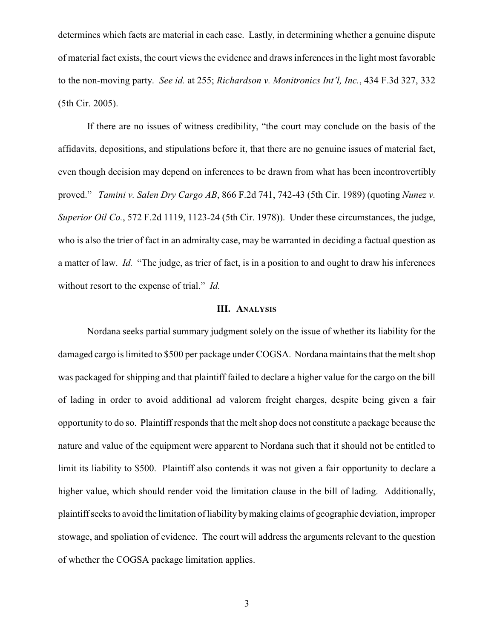determines which facts are material in each case. Lastly, in determining whether a genuine dispute of material fact exists, the court views the evidence and draws inferences in the light most favorable to the non-moving party. *See id.* at 255; *Richardson v. Monitronics Int'l, Inc.*, 434 F.3d 327, 332 (5th Cir. 2005).

If there are no issues of witness credibility, "the court may conclude on the basis of the affidavits, depositions, and stipulations before it, that there are no genuine issues of material fact, even though decision may depend on inferences to be drawn from what has been incontrovertibly proved." *Tamini v. Salen Dry Cargo AB*, 866 F.2d 741, 742-43 (5th Cir. 1989) (quoting *Nunez v. Superior Oil Co.*, 572 F.2d 1119, 1123-24 (5th Cir. 1978)). Under these circumstances, the judge, who is also the trier of fact in an admiralty case, may be warranted in deciding a factual question as a matter of law. *Id.* "The judge, as trier of fact, is in a position to and ought to draw his inferences without resort to the expense of trial." *Id.*

#### **III. ANALYSIS**

Nordana seeks partial summary judgment solely on the issue of whether its liability for the damaged cargo is limited to \$500 per package under COGSA. Nordana maintains that the melt shop was packaged for shipping and that plaintiff failed to declare a higher value for the cargo on the bill of lading in order to avoid additional ad valorem freight charges, despite being given a fair opportunity to do so. Plaintiff responds that the melt shop does not constitute a package because the nature and value of the equipment were apparent to Nordana such that it should not be entitled to limit its liability to \$500. Plaintiff also contends it was not given a fair opportunity to declare a higher value, which should render void the limitation clause in the bill of lading. Additionally, plaintiff seeks to avoid the limitation of liability bymaking claims of geographic deviation, improper stowage, and spoliation of evidence. The court will address the arguments relevant to the question of whether the COGSA package limitation applies.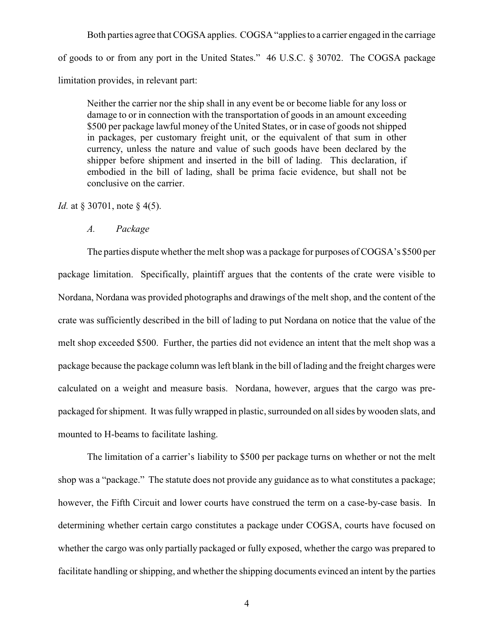Both parties agree that COGSA applies. COGSA "applies to a carrier engaged in the carriage of goods to or from any port in the United States." 46 U.S.C. § 30702. The COGSA package limitation provides, in relevant part:

Neither the carrier nor the ship shall in any event be or become liable for any loss or damage to or in connection with the transportation of goods in an amount exceeding \$500 per package lawful money of the United States, or in case of goods not shipped in packages, per customary freight unit, or the equivalent of that sum in other currency, unless the nature and value of such goods have been declared by the shipper before shipment and inserted in the bill of lading. This declaration, if embodied in the bill of lading, shall be prima facie evidence, but shall not be conclusive on the carrier.

*Id.* at § 30701, note § 4(5).

*A. Package*

The parties dispute whether the melt shop was a package for purposes of COGSA's \$500 per package limitation. Specifically, plaintiff argues that the contents of the crate were visible to Nordana, Nordana was provided photographs and drawings of the melt shop, and the content of the crate was sufficiently described in the bill of lading to put Nordana on notice that the value of the melt shop exceeded \$500. Further, the parties did not evidence an intent that the melt shop was a package because the package column was left blank in the bill of lading and the freight charges were calculated on a weight and measure basis. Nordana, however, argues that the cargo was prepackaged for shipment. It was fully wrapped in plastic, surrounded on all sides by wooden slats, and mounted to H-beams to facilitate lashing.

The limitation of a carrier's liability to \$500 per package turns on whether or not the melt shop was a "package." The statute does not provide any guidance as to what constitutes a package; however, the Fifth Circuit and lower courts have construed the term on a case-by-case basis. In determining whether certain cargo constitutes a package under COGSA, courts have focused on whether the cargo was only partially packaged or fully exposed, whether the cargo was prepared to facilitate handling or shipping, and whether the shipping documents evinced an intent by the parties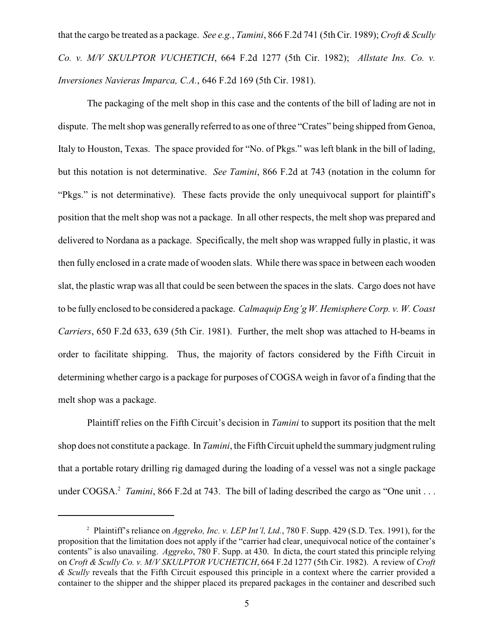that the cargo be treated as a package. *See e.g.*, *Tamini*, 866 F.2d 741 (5th Cir. 1989); *Croft & Scully Co. v. M/V SKULPTOR VUCHETICH*, 664 F.2d 1277 (5th Cir. 1982); *Allstate Ins. Co. v. Inversiones Navieras Imparca, C.A.*, 646 F.2d 169 (5th Cir. 1981).

The packaging of the melt shop in this case and the contents of the bill of lading are not in dispute. The melt shop was generally referred to as one of three "Crates" being shipped from Genoa, Italy to Houston, Texas. The space provided for "No. of Pkgs." was left blank in the bill of lading, but this notation is not determinative. *See Tamini*, 866 F.2d at 743 (notation in the column for "Pkgs." is not determinative). These facts provide the only unequivocal support for plaintiff's position that the melt shop was not a package. In all other respects, the melt shop was prepared and delivered to Nordana as a package. Specifically, the melt shop was wrapped fully in plastic, it was then fully enclosed in a crate made of wooden slats. While there was space in between each wooden slat, the plastic wrap was all that could be seen between the spaces in the slats. Cargo does not have to be fully enclosed to be considered a package. *Calmaquip Eng'g W. Hemisphere Corp. v. W. Coast Carriers*, 650 F.2d 633, 639 (5th Cir. 1981). Further, the melt shop was attached to H-beams in order to facilitate shipping. Thus, the majority of factors considered by the Fifth Circuit in determining whether cargo is a package for purposes of COGSA weigh in favor of a finding that the melt shop was a package.

Plaintiff relies on the Fifth Circuit's decision in *Tamini* to support its position that the melt shop does not constitute a package. In *Tamini*, the Fifth Circuit upheld the summary judgment ruling that a portable rotary drilling rig damaged during the loading of a vessel was not a single package under COGSA.<sup>2</sup> *Tamini*, 866 F.2d at 743. The bill of lading described the cargo as "One unit ...

<sup>&</sup>lt;sup>2</sup> Plaintiff's reliance on *Aggreko, Inc. v. LEP Int'l, Ltd.*, 780 F. Supp. 429 (S.D. Tex. 1991), for the proposition that the limitation does not apply if the "carrier had clear, unequivocal notice of the container's contents" is also unavailing. *Aggreko*, 780 F. Supp. at 430. In dicta, the court stated this principle relying on *Croft & Scully Co. v. M/V SKULPTOR VUCHETICH*, 664 F.2d 1277 (5th Cir. 1982). A review of *Croft & Scully* reveals that the Fifth Circuit espoused this principle in a context where the carrier provided a container to the shipper and the shipper placed its prepared packages in the container and described such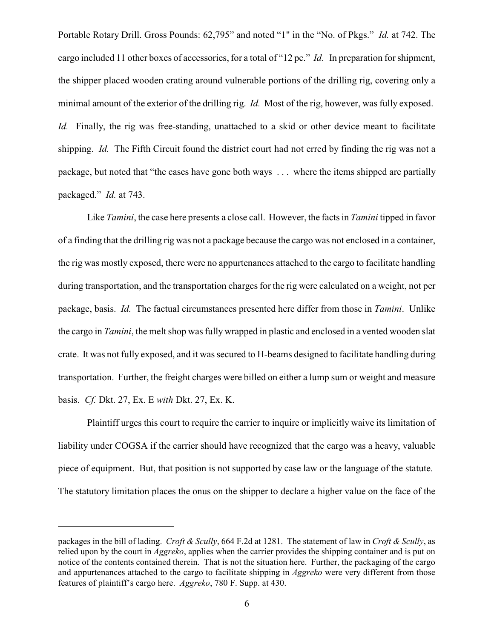Portable Rotary Drill. Gross Pounds: 62,795" and noted "1" in the "No. of Pkgs." *Id.* at 742. The cargo included 11 other boxes of accessories, for a total of "12 pc." *Id.* In preparation for shipment, the shipper placed wooden crating around vulnerable portions of the drilling rig, covering only a minimal amount of the exterior of the drilling rig. *Id.* Most of the rig, however, was fully exposed. *Id.* Finally, the rig was free-standing, unattached to a skid or other device meant to facilitate shipping. *Id.* The Fifth Circuit found the district court had not erred by finding the rig was not a package, but noted that "the cases have gone both ways . . . where the items shipped are partially packaged." *Id.* at 743.

Like *Tamini*, the case here presents a close call. However, the facts in *Tamini* tipped in favor of a finding that the drilling rig was not a package because the cargo was not enclosed in a container, the rig was mostly exposed, there were no appurtenances attached to the cargo to facilitate handling during transportation, and the transportation charges for the rig were calculated on a weight, not per package, basis. *Id.* The factual circumstances presented here differ from those in *Tamini*. Unlike the cargo in *Tamini*, the melt shop was fully wrapped in plastic and enclosed in a vented wooden slat crate. It was not fully exposed, and it was secured to H-beams designed to facilitate handling during transportation. Further, the freight charges were billed on either a lump sum or weight and measure basis. *Cf.* Dkt. 27, Ex. E *with* Dkt. 27, Ex. K.

Plaintiff urges this court to require the carrier to inquire or implicitly waive its limitation of liability under COGSA if the carrier should have recognized that the cargo was a heavy, valuable piece of equipment. But, that position is not supported by case law or the language of the statute. The statutory limitation places the onus on the shipper to declare a higher value on the face of the

packages in the bill of lading. *Croft & Scully*, 664 F.2d at 1281. The statement of law in *Croft & Scully*, as relied upon by the court in *Aggreko*, applies when the carrier provides the shipping container and is put on notice of the contents contained therein. That is not the situation here. Further, the packaging of the cargo and appurtenances attached to the cargo to facilitate shipping in *Aggreko* were very different from those features of plaintiff's cargo here. *Aggreko*, 780 F. Supp. at 430.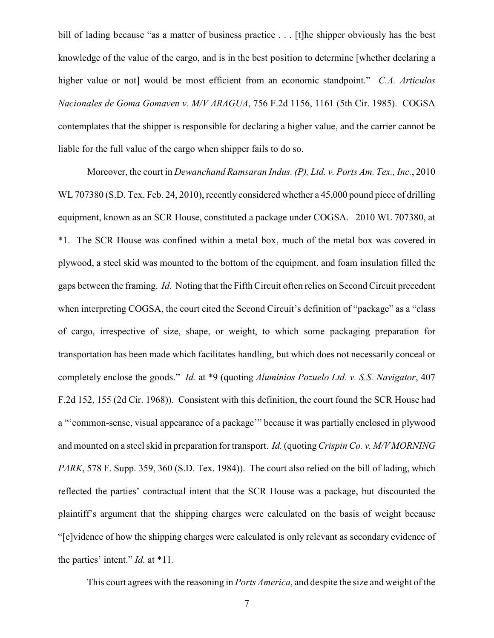bill of lading because "as a matter of business practice . . . [t]he shipper obviously has the best knowledge of the value of the cargo, and is in the best position to determine [whether declaring a higher value or not] would be most efficient from an economic standpoint." *C.A. Articulos Nacionales de Goma Gomaven v. M/V ARAGUA*, 756 F.2d 1156, 1161 (5th Cir. 1985). COGSA contemplates that the shipper is responsible for declaring a higher value, and the carrier cannot be liable for the full value of the cargo when shipper fails to do so.

Moreover, the court in *Dewanchand Ramsaran Indus. (P), Ltd. v. Ports Am. Tex., Inc.*, 2010 WL 707380 (S.D. Tex. Feb. 24, 2010), recently considered whether a 45,000 pound piece of drilling equipment, known as an SCR House, constituted a package under COGSA. 2010 WL 707380, at \*1. The SCR House was confined within a metal box, much of the metal box was covered in plywood, a steel skid was mounted to the bottom of the equipment, and foam insulation filled the gaps between the framing. *Id.* Noting that the Fifth Circuit often relies on Second Circuit precedent when interpreting COGSA, the court cited the Second Circuit's definition of "package" as a "class of cargo, irrespective of size, shape, or weight, to which some packaging preparation for transportation has been made which facilitates handling, but which does not necessarily conceal or completely enclose the goods." *Id.* at \*9 (quoting *Aluminios Pozuelo Ltd. v. S.S. Navigator*, 407 F.2d 152, 155 (2d Cir. 1968)). Consistent with this definition, the court found the SCR House had a "'common-sense, visual appearance of a package'" because it was partially enclosed in plywood and mounted on a steel skid in preparation for transport. *Id.*(quoting*Crispin Co. v. M/V MORNING PARK*, 578 F. Supp. 359, 360 (S.D. Tex. 1984)). The court also relied on the bill of lading, which reflected the parties' contractual intent that the SCR House was a package, but discounted the plaintiff's argument that the shipping charges were calculated on the basis of weight because "[e]vidence of how the shipping charges were calculated is only relevant as secondary evidence of the parties' intent." *Id.* at \*11.

This court agrees with the reasoning in *Ports America*, and despite the size and weight of the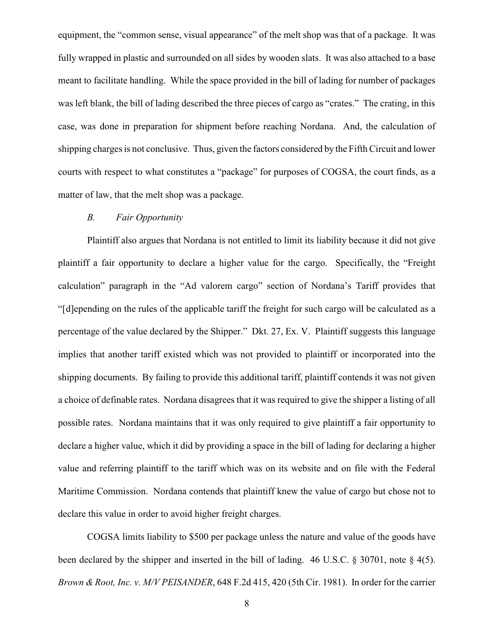equipment, the "common sense, visual appearance" of the melt shop was that of a package. It was fully wrapped in plastic and surrounded on all sides by wooden slats. It was also attached to a base meant to facilitate handling. While the space provided in the bill of lading for number of packages was left blank, the bill of lading described the three pieces of cargo as "crates." The crating, in this case, was done in preparation for shipment before reaching Nordana. And, the calculation of shipping charges is not conclusive. Thus, given the factors considered by the Fifth Circuit and lower courts with respect to what constitutes a "package" for purposes of COGSA, the court finds, as a matter of law, that the melt shop was a package.

## *B. Fair Opportunity*

Plaintiff also argues that Nordana is not entitled to limit its liability because it did not give plaintiff a fair opportunity to declare a higher value for the cargo. Specifically, the "Freight calculation" paragraph in the "Ad valorem cargo" section of Nordana's Tariff provides that "[d]epending on the rules of the applicable tariff the freight for such cargo will be calculated as a percentage of the value declared by the Shipper." Dkt. 27, Ex. V. Plaintiff suggests this language implies that another tariff existed which was not provided to plaintiff or incorporated into the shipping documents. By failing to provide this additional tariff, plaintiff contends it was not given a choice of definable rates. Nordana disagrees that it was required to give the shipper a listing of all possible rates. Nordana maintains that it was only required to give plaintiff a fair opportunity to declare a higher value, which it did by providing a space in the bill of lading for declaring a higher value and referring plaintiff to the tariff which was on its website and on file with the Federal Maritime Commission. Nordana contends that plaintiff knew the value of cargo but chose not to declare this value in order to avoid higher freight charges.

COGSA limits liability to \$500 per package unless the nature and value of the goods have been declared by the shipper and inserted in the bill of lading. 46 U.S.C. § 30701, note § 4(5). *Brown & Root, Inc. v. M/V PEISANDER*, 648 F.2d 415, 420 (5th Cir. 1981). In order for the carrier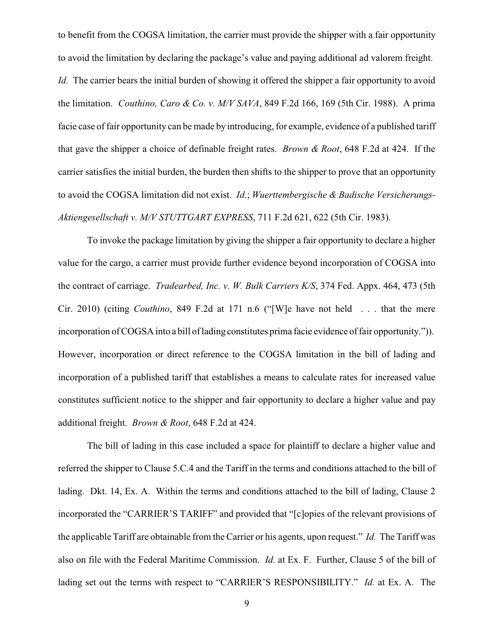to benefit from the COGSA limitation, the carrier must provide the shipper with a fair opportunity to avoid the limitation by declaring the package's value and paying additional ad valorem freight.

*Id.* The carrier bears the initial burden of showing it offered the shipper a fair opportunity to avoid the limitation. *Couthino, Caro & Co. v. M/V SAVA*, 849 F.2d 166, 169 (5th Cir. 1988). A prima facie case of fair opportunity can be made by introducing, for example, evidence of a published tariff that gave the shipper a choice of definable freight rates. *Brown & Root*, 648 F.2d at 424. If the carrier satisfies the initial burden, the burden then shifts to the shipper to prove that an opportunity to avoid the COGSA limitation did not exist. *Id.*; *Wuerttembergische & Badische Versicherungs-Aktiengesellschaft v. M/V STUTTGART EXPRESS*, 711 F.2d 621, 622 (5th Cir. 1983).

To invoke the package limitation by giving the shipper a fair opportunity to declare a higher value for the cargo, a carrier must provide further evidence beyond incorporation of COGSA into the contract of carriage. *Tradearbed, Inc. v. W. Bulk Carriers K/S*, 374 Fed. Appx. 464, 473 (5th Cir. 2010) (citing *Couthino*, 849 F.2d at 171 n.6 ("[W]e have not held . . . that the mere incorporation of COGSA into a bill of lading constitutes prima facie evidence of fair opportunity.")). However, incorporation or direct reference to the COGSA limitation in the bill of lading and incorporation of a published tariff that establishes a means to calculate rates for increased value constitutes sufficient notice to the shipper and fair opportunity to declare a higher value and pay additional freight. *Brown & Root*, 648 F.2d at 424.

The bill of lading in this case included a space for plaintiff to declare a higher value and referred the shipper to Clause 5.C.4 and the Tariff in the terms and conditions attached to the bill of lading. Dkt. 14, Ex. A. Within the terms and conditions attached to the bill of lading, Clause 2 incorporated the "CARRIER'S TARIFF" and provided that "[c]opies of the relevant provisions of the applicable Tariff are obtainable from the Carrier or his agents, upon request." *Id.* The Tariff was also on file with the Federal Maritime Commission. *Id.* at Ex. F. Further, Clause 5 of the bill of lading set out the terms with respect to "CARRIER'S RESPONSIBILITY." *Id.* at Ex. A. The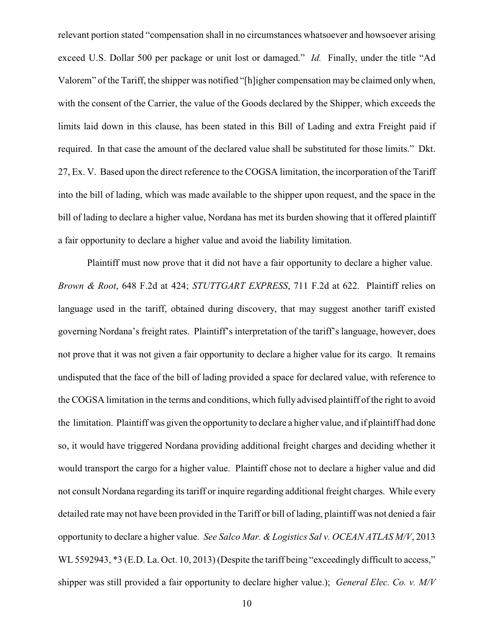relevant portion stated "compensation shall in no circumstances whatsoever and howsoever arising exceed U.S. Dollar 500 per package or unit lost or damaged." *Id.* Finally, under the title "Ad Valorem" of the Tariff, the shipper was notified "[h]igher compensation may be claimed onlywhen, with the consent of the Carrier, the value of the Goods declared by the Shipper, which exceeds the limits laid down in this clause, has been stated in this Bill of Lading and extra Freight paid if required. In that case the amount of the declared value shall be substituted for those limits." Dkt. 27, Ex. V. Based upon the direct reference to the COGSA limitation, the incorporation of the Tariff into the bill of lading, which was made available to the shipper upon request, and the space in the bill of lading to declare a higher value, Nordana has met its burden showing that it offered plaintiff a fair opportunity to declare a higher value and avoid the liability limitation.

Plaintiff must now prove that it did not have a fair opportunity to declare a higher value. *Brown & Root*, 648 F.2d at 424; *STUTTGART EXPRESS*, 711 F.2d at 622. Plaintiff relies on language used in the tariff, obtained during discovery, that may suggest another tariff existed governing Nordana's freight rates. Plaintiff's interpretation of the tariff's language, however, does not prove that it was not given a fair opportunity to declare a higher value for its cargo. It remains undisputed that the face of the bill of lading provided a space for declared value, with reference to the COGSA limitation in the terms and conditions, which fully advised plaintiff of the right to avoid the limitation. Plaintiff was given the opportunity to declare a higher value, and if plaintiff had done so, it would have triggered Nordana providing additional freight charges and deciding whether it would transport the cargo for a higher value. Plaintiff chose not to declare a higher value and did not consult Nordana regarding its tariff or inquire regarding additional freight charges. While every detailed rate may not have been provided in the Tariff or bill of lading, plaintiff was not denied a fair opportunity to declare a higher value. *See Salco Mar. & Logistics Sal v. OCEAN ATLAS M/V*, 2013 WL 5592943,  $*3$  (E.D. La. Oct. 10, 2013) (Despite the tariff being "exceedingly difficult to access," shipper was still provided a fair opportunity to declare higher value.); *General Elec. Co. v. M/V*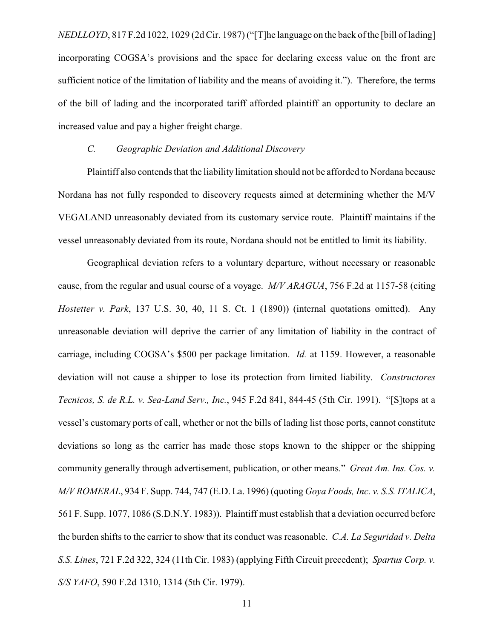*NEDLLOYD*, 817 F.2d 1022, 1029 (2d Cir. 1987) ("[T]he language on the back of the [bill of lading] incorporating COGSA's provisions and the space for declaring excess value on the front are sufficient notice of the limitation of liability and the means of avoiding it."). Therefore, the terms of the bill of lading and the incorporated tariff afforded plaintiff an opportunity to declare an increased value and pay a higher freight charge.

## *C. Geographic Deviation and Additional Discovery*

Plaintiff also contends that the liability limitation should not be afforded to Nordana because Nordana has not fully responded to discovery requests aimed at determining whether the M/V VEGALAND unreasonably deviated from its customary service route. Plaintiff maintains if the vessel unreasonably deviated from its route, Nordana should not be entitled to limit its liability.

Geographical deviation refers to a voluntary departure, without necessary or reasonable cause, from the regular and usual course of a voyage. *M/V ARAGUA*, 756 F.2d at 1157-58 (citing *Hostetter v. Park*, 137 U.S. 30, 40, 11 S. Ct. 1 (1890)) (internal quotations omitted). Any unreasonable deviation will deprive the carrier of any limitation of liability in the contract of carriage, including COGSA's \$500 per package limitation. *Id.* at 1159. However, a reasonable deviation will not cause a shipper to lose its protection from limited liability. *Constructores Tecnicos, S. de R.L. v. Sea-Land Serv., Inc.*, 945 F.2d 841, 844-45 (5th Cir. 1991). "[S]tops at a vessel's customary ports of call, whether or not the bills of lading list those ports, cannot constitute deviations so long as the carrier has made those stops known to the shipper or the shipping community generally through advertisement, publication, or other means." *Great Am. Ins. Cos. v. M/V ROMERAL*, 934 F. Supp. 744, 747 (E.D. La. 1996) (quoting *Goya Foods, Inc. v. S.S. ITALICA*, 561 F. Supp. 1077, 1086 (S.D.N.Y. 1983)). Plaintiff must establish that a deviation occurred before the burden shifts to the carrier to show that its conduct was reasonable. *C.A. La Seguridad v. Delta S.S. Lines*, 721 F.2d 322, 324 (11th Cir. 1983) (applying Fifth Circuit precedent); *Spartus Corp. v. S/S YAFO*, 590 F.2d 1310, 1314 (5th Cir. 1979).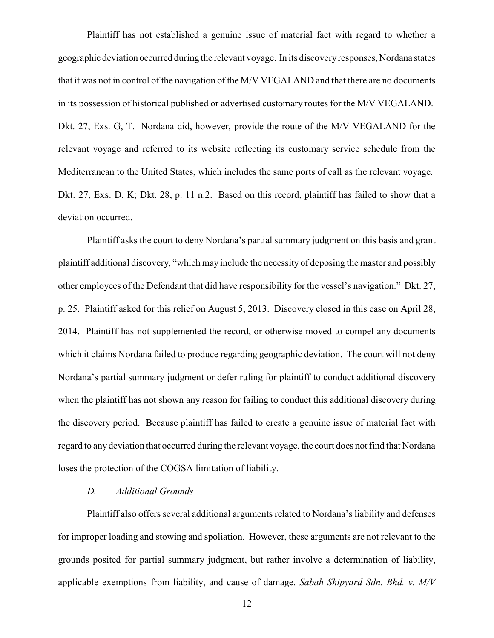Plaintiff has not established a genuine issue of material fact with regard to whether a geographic deviation occurred during the relevant voyage. In its discoveryresponses, Nordana states that it was not in control of the navigation of the M/V VEGALAND and that there are no documents in its possession of historical published or advertised customary routes for the M/V VEGALAND. Dkt. 27, Exs. G, T. Nordana did, however, provide the route of the M/V VEGALAND for the relevant voyage and referred to its website reflecting its customary service schedule from the Mediterranean to the United States, which includes the same ports of call as the relevant voyage. Dkt. 27, Exs. D, K; Dkt. 28, p. 11 n.2. Based on this record, plaintiff has failed to show that a deviation occurred.

Plaintiff asks the court to deny Nordana's partial summary judgment on this basis and grant plaintiff additional discovery, "which may include the necessity of deposing the master and possibly other employees of the Defendant that did have responsibility for the vessel's navigation." Dkt. 27, p. 25. Plaintiff asked for this relief on August 5, 2013. Discovery closed in this case on April 28, 2014. Plaintiff has not supplemented the record, or otherwise moved to compel any documents which it claims Nordana failed to produce regarding geographic deviation. The court will not deny Nordana's partial summary judgment or defer ruling for plaintiff to conduct additional discovery when the plaintiff has not shown any reason for failing to conduct this additional discovery during the discovery period. Because plaintiff has failed to create a genuine issue of material fact with regard to any deviation that occurred during the relevant voyage, the court does not find that Nordana loses the protection of the COGSA limitation of liability.

#### *D. Additional Grounds*

Plaintiff also offers several additional arguments related to Nordana's liability and defenses for improper loading and stowing and spoliation. However, these arguments are not relevant to the grounds posited for partial summary judgment, but rather involve a determination of liability, applicable exemptions from liability, and cause of damage. *Sabah Shipyard Sdn. Bhd. v. M/V*